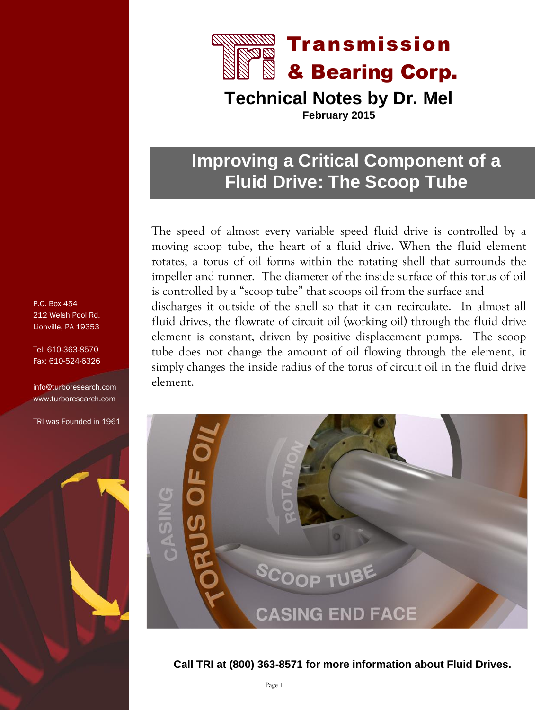

**Technical Notes by Dr. Mel February 2015**

## **Improving a Critical Component of a Fluid Drive: The Scoop Tube**

The speed of almost every variable speed fluid drive is controlled by a moving scoop tube, the heart of a fluid drive. When the fluid element rotates, a torus of oil forms within the rotating shell that surrounds the impeller and runner. The diameter of the inside surface of this torus of oil is controlled by a "scoop tube" that scoops oil from the surface and discharges it outside of the shell so that it can recirculate. In almost all fluid drives, the flowrate of circuit oil (working oil) through the fluid drive element is constant, driven by positive displacement pumps. The scoop tube does not change the amount of oil flowing through the element, it simply changes the inside radius of the torus of circuit oil in the fluid drive element.



**Call TRI at (800) 363-8571 for more information about Fluid Drives.**

P.O. Box 454 212 Welsh Pool Rd. Lionville, PA 19353

Tel: 610-363-8570 Fax: 610-524-6326

info@turboresearch.com www.turboresearch.com

TRI was Founded in 1961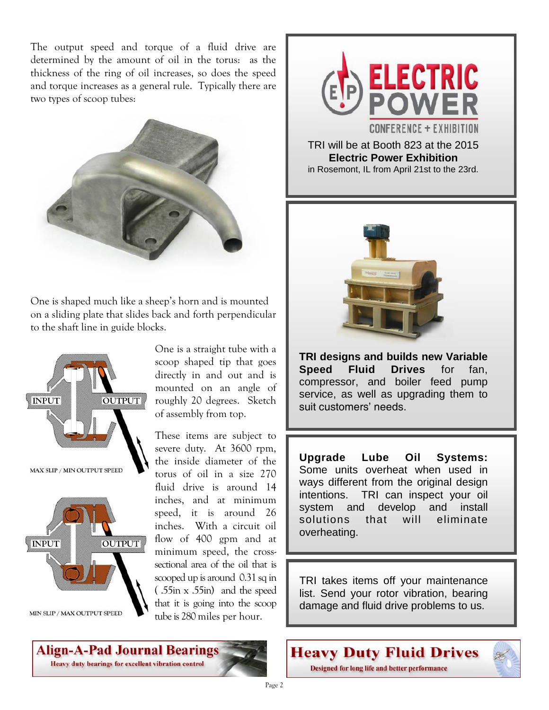The output speed and torque of a fluid drive are determined by the amount of oil in the torus: as the thickness of the ring of oil increases, so does the speed and torque increases as a general rule. Typically there are two types of scoop tubes:



One is shaped much like a sheep's horn and is mounted on a sliding plate that slides back and forth perpendicular to the shaft line in guide blocks.





Align-A-Pad Journal Bearings Heavy duty bearings for excellent vibration control

One is a straight tube with a scoop shaped tip that goes directly in and out and is mounted on an angle of roughly 20 degrees. Sketch of assembly from top.

These items are subject to severe duty. At 3600 rpm, the inside diameter of the torus of oil in a size 270 fluid drive is around 14 inches, and at minimum speed, it is around 26 inches. With a circuit oil flow of 400 gpm and at minimum speed, the crosssectional area of the oil that is scooped up is around 0.31 sq in ( .55in x .55in) and the speed that it is going into the scoop tube is 280 miles per hour.



TRI will be at Booth 823 at the 2015 **Electric Power Exhibition**  in Rosemont, IL from April 21st to the 23rd.



**TRI designs and builds new Variable Speed Fluid Drives** for fan, compressor, and boiler feed pump service, as well as upgrading them to suit customers' needs.

**Upgrade Lube Oil Systems:** Some units overheat when used in ways different from the original design intentions. TRI can inspect your oil system and develop and install solutions that will eliminate overheating.

TRI takes items off your maintenance list. Send your rotor vibration, bearing damage and fluid drive problems to us.